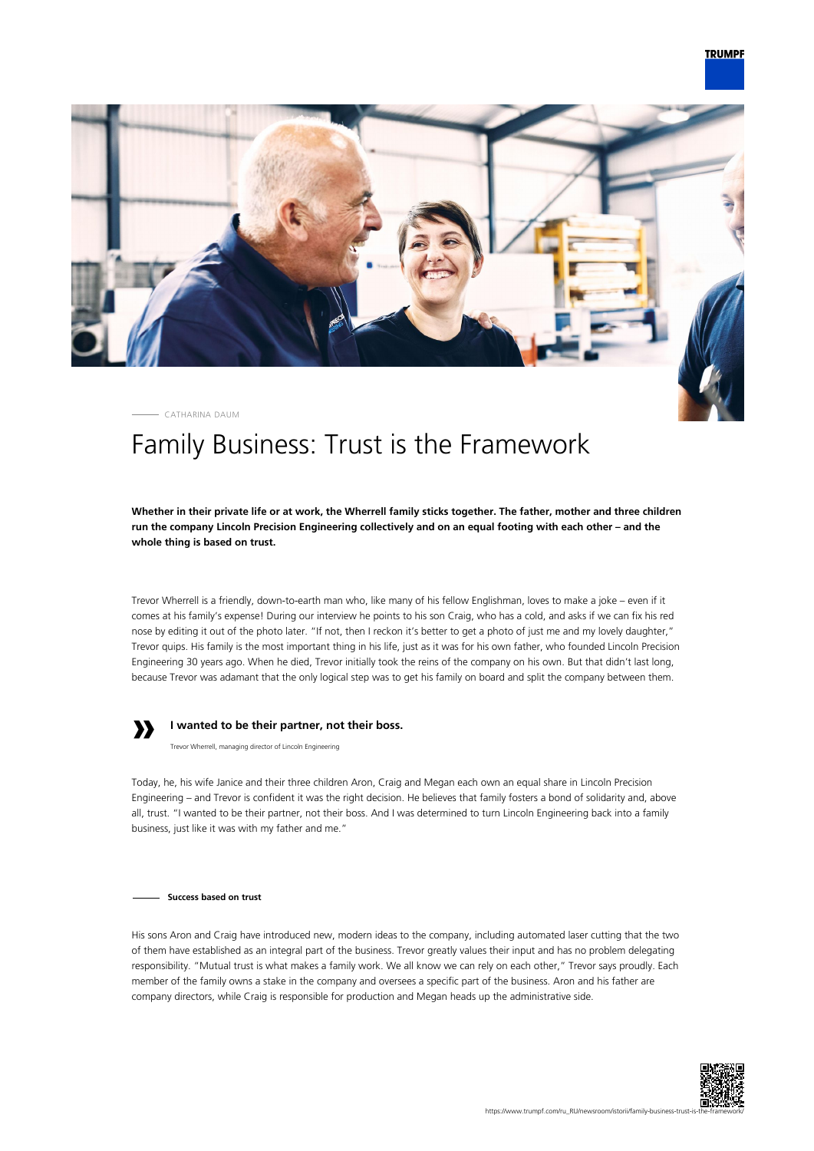

CATHARINA DAUM

# Family Business: Trust is the Framework

**Whether in their private life or at work, the Wherrell family sticks together. The father, mother and three children run the company Lincoln Precision Engineering collectively and on an equal footing with each other – and the whole thing is based on trust.**

Trevor Wherrell is a friendly, down-to-earth man who, like many of his fellow Englishman, loves to make a joke – even if it comes at his family's expense! During our interview he points to his son Craig, who has a cold, and asks if we can fix his red nose by editing it out of the photo later. "If not, then I reckon it's better to get a photo of just me and my lovely daughter," Trevor quips. His family is the most important thing in his life, just as it was for his own father, who founded Lincoln Precision Engineering 30 years ago. When he died, Trevor initially took the reins of the company on his own. But that didn't last long, because Trevor was adamant that the only logical step was to get his family on board and split the company between them.



## **I wanted to be their partner, not their boss.**

Trevor Wherrell, managing director of Lincoln Engineering

Today, he, his wife Janice and their three children Aron, Craig and Megan each own an equal share in Lincoln Precision Engineering – and Trevor is confident it was the right decision. He believes that family fosters a bond of solidarity and, above all, trust. "I wanted to be their partner, not their boss. And I was determined to turn Lincoln Engineering back into a family business, just like it was with my father and me."

**Success based on trust**

His sons Aron and Craig have introduced new, modern ideas to the company, including automated laser cutting that the two of them have established as an integral part of the business. Trevor greatly values their input and has no problem delegating responsibility. "Mutual trust is what makes a family work. We all know we can rely on each other," Trevor says proudly. Each member of the family owns a stake in the company and oversees a specific part of the business. Aron and his father are company directors, while Craig is responsible for production and Megan heads up the administrative side.

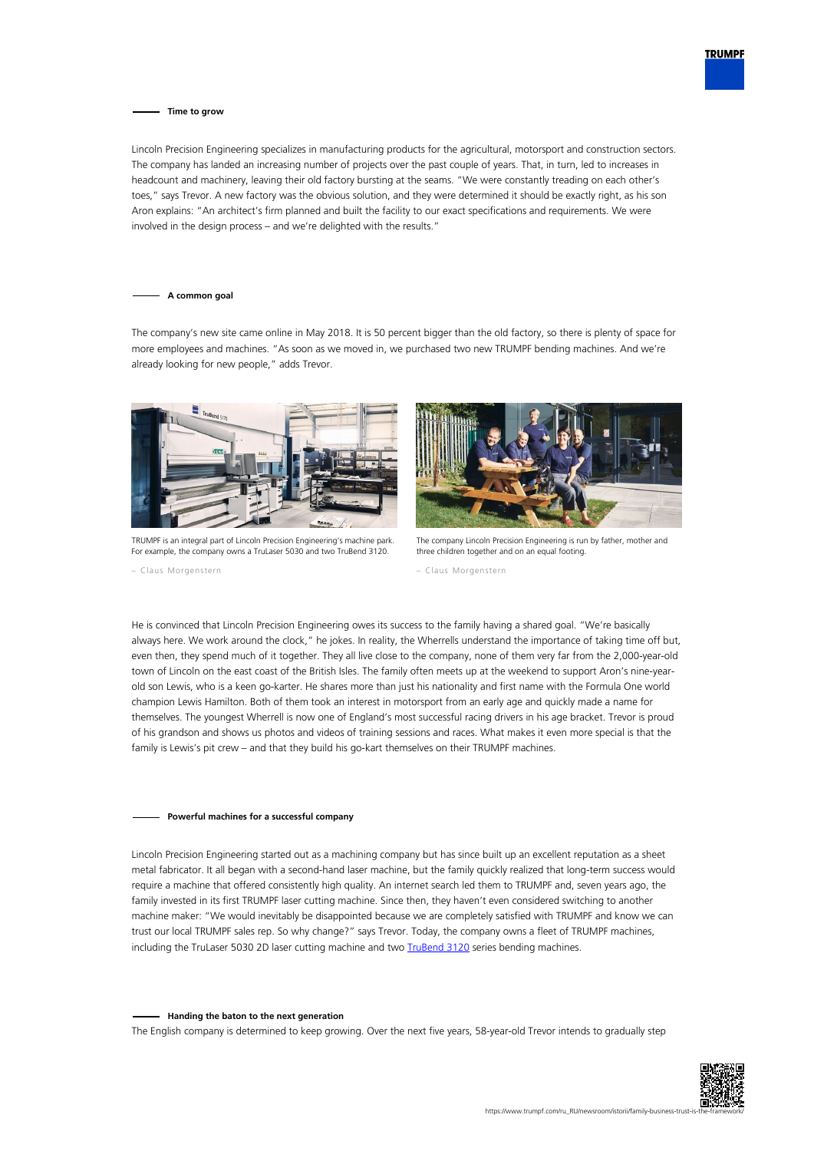

### **Time to grow**

Lincoln Precision Engineering specializes in manufacturing products for the agricultural, motorsport and construction sectors. The company has landed an increasing number of projects over the past couple of years. That, in turn, led to increases in headcount and machinery, leaving their old factory bursting at the seams. "We were constantly treading on each other's toes," says Trevor. A new factory was the obvious solution, and they were determined it should be exactly right, as his son Aron explains: "An architect's firm planned and built the facility to our exact specifications and requirements. We were involved in the design process – and we're delighted with the results."

#### **A common goal**

The company's new site came online in May 2018. It is 50 percent bigger than the old factory, so there is plenty of space for more employees and machines. "As soon as we moved in, we purchased two new TRUMPF bending machines. And we're already looking for new people," adds Trevor.



TRUMPF is an integral part of Lincoln Precision Engineering's machine park. For example, the company owns a TruLaser 5030 and two TruBend 3120.

– Claus Morgenstern



The company Lincoln Precision Engineering is run by father, mother and three children together and on an equal footing.

– Claus Morgenstern

He is convinced that Lincoln Precision Engineering owes its success to the family having a shared goal. "We're basically always here. We work around the clock," he jokes. In reality, the Wherrells understand the importance of taking time off but, even then, they spend much of it together. They all live close to the company, none of them very far from the 2,000-year-old town of Lincoln on the east coast of the British Isles. The family often meets up at the weekend to support Aron's nine-yearold son Lewis, who is a keen go-karter. He shares more than just his nationality and first name with the Formula One world champion Lewis Hamilton. Both of them took an interest in motorsport from an early age and quickly made a name for themselves. The youngest Wherrell is now one of England's most successful racing drivers in his age bracket. Trevor is proud of his grandson and shows us photos and videos of training sessions and races. What makes it even more special is that the family is Lewis's pit crew – and that they build his go-kart themselves on their TRUMPF machines.

### **Powerful machines for a successful company**

Lincoln Precision Engineering started out as a machining company but has since built up an excellent reputation as a sheet metal fabricator. It all began with a second-hand laser machine, but the family quickly realized that long-term success would require a machine that offered consistently high quality. An internet search led them to TRUMPF and, seven years ago, the family invested in its first TRUMPF laser cutting machine. Since then, they haven't even considered switching to another machine maker: "We would inevitably be disappointed because we are completely satisfied with TRUMPF and know we can trust our local TRUMPF sales rep. So why change?" says Trevor. Today, the company owns a fleet of TRUMPF machines, including the TruLaser 5030 2D laser cutting machine and two [TruBend 3120](https://www.trumpf.com/ru_RU/produkcija/stanki-sistemy/gibochnye-stanki/trubend-serii-3000/) series bending machines.

#### **Handing the baton to the next generation**

The English company is determined to keep growing. Over the next five years, 58-year-old Trevor intends to gradually step